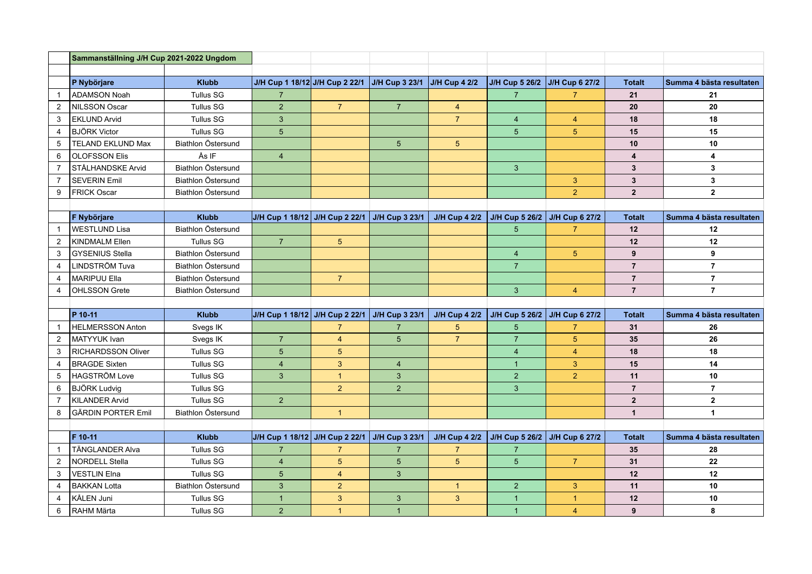|                | Sammanställning J/H Cup 2021-2022 Ungdom |                    |                                               |                |                       |                      |                               |                |                         |                          |
|----------------|------------------------------------------|--------------------|-----------------------------------------------|----------------|-----------------------|----------------------|-------------------------------|----------------|-------------------------|--------------------------|
|                |                                          |                    |                                               |                |                       |                      |                               |                |                         |                          |
|                | P Nybörjare                              | <b>Klubb</b>       | J/H Cup 1 18/12 J/H Cup 2 22/1 J/H Cup 3 23/1 |                |                       | $JI/H$ Cup 4 2/2     | J/H Cup 5 26/2 J/H Cup 6 27/2 |                | <b>Totalt</b>           | Summa 4 bästa resultaten |
| $\mathbf{1}$   | <b>ADAMSON Noah</b>                      | <b>Tullus SG</b>   | $\overline{7}$                                |                |                       |                      | $\overline{7}$                | $\overline{7}$ | 21                      | 21                       |
| 2              | NILSSON Oscar                            | <b>Tullus SG</b>   | $\overline{2}$                                | $\overline{7}$ | $\overline{7}$        | $\overline{4}$       |                               |                | 20                      | 20                       |
| 3              | <b>EKLUND Arvid</b>                      | <b>Tullus SG</b>   | 3 <sup>5</sup>                                |                |                       | $\overline{7}$       | $\overline{4}$                | $\overline{4}$ | 18                      | 18                       |
| $\overline{4}$ | <b>BJÖRK Victor</b>                      | <b>Tullus SG</b>   | 5                                             |                |                       |                      | 5 <sup>5</sup>                | 5 <sup>5</sup> | 15                      | 15                       |
| 5              | <b>TELAND EKLUND Max</b>                 | Biathlon Östersund |                                               |                | 5                     | 5 <sup>5</sup>       |                               |                | 10                      | 10                       |
| 6              | <b>OLOFSSON Elis</b>                     | Ås IF              | $\overline{4}$                                |                |                       |                      |                               |                | $\overline{\mathbf{4}}$ | $\overline{\mathbf{4}}$  |
| 7              | STÅLHANDSKE Arvid                        | Biathlon Östersund |                                               |                |                       |                      | $\overline{3}$                |                | $\overline{3}$          | $\mathbf{3}$             |
| $\overline{7}$ | <b>SEVERIN Emil</b>                      | Biathlon Östersund |                                               |                |                       |                      |                               | $\mathbf{3}$   | $\mathbf{3}$            | $\mathbf{3}$             |
| 9              | <b>FRICK Oscar</b>                       | Biathlon Östersund |                                               |                |                       |                      |                               | $\overline{2}$ | $\overline{\mathbf{2}}$ | $\overline{2}$           |
|                |                                          |                    |                                               |                |                       |                      |                               |                |                         |                          |
|                | F Nybörjare                              | <b>Klubb</b>       | J/H Cup 1 18/12 J/H Cup 2 22/1 J/H Cup 3 23/1 |                |                       | <b>J/H Cup 4 2/2</b> | J/H Cup 5 26/2 J/H Cup 6 27/2 |                | <b>Totalt</b>           | Summa 4 bästa resultaten |
|                | <b>WESTLUND Lisa</b>                     | Biathlon Östersund |                                               |                |                       |                      | 5                             | $\overline{7}$ | 12                      | 12                       |
| 2              | <b>KINDMALM Ellen</b>                    | <b>Tullus SG</b>   | $\overline{7}$                                | 5 <sup>5</sup> |                       |                      |                               |                | 12                      | 12                       |
| 3              | <b>GYSENIUS Stella</b>                   | Biathlon Östersund |                                               |                |                       |                      | $\overline{4}$                | 5 <sub>5</sub> | 9                       | 9                        |
| 4              | <b>LINDSTRÖM Tuva</b>                    | Biathlon Östersund |                                               |                |                       |                      | $\overline{7}$                |                | $\overline{7}$          | $\overline{7}$           |
| 4              | <b>MARIPUU Ella</b>                      | Biathlon Östersund |                                               | $\overline{7}$ |                       |                      |                               |                | $\overline{7}$          | $\overline{7}$           |
| 4              | <b>OHLSSON Grete</b>                     | Biathlon Östersund |                                               |                |                       |                      | 3 <sup>1</sup>                | $\overline{4}$ | $\overline{7}$          | $\overline{7}$           |
|                |                                          |                    |                                               |                |                       |                      |                               |                |                         |                          |
|                | P 10-11                                  | <b>Klubb</b>       | J/H Cup 1 18/12 J/H Cup 2 22/1                |                | J/H Cup 3 23/1        | <b>J/H Cup 4 2/2</b> | J/H Cup 5 26/2 J/H Cup 6 27/2 |                | <b>Totalt</b>           | Summa 4 bästa resultaten |
| $\mathbf{1}$   | <b>HELMERSSON Anton</b>                  | Svegs IK           |                                               | $\overline{7}$ | $\overline{7}$        | 5                    | $5\overline{5}$               | $\overline{7}$ | 31                      | 26                       |
| 2              | MATYYUK Ivan                             | Svegs IK           | $\overline{7}$                                | $\overline{4}$ | 5                     | $\overline{7}$       | $\overline{7}$                | 5 <sub>5</sub> | 35                      | 26                       |
| 3              | <b>RICHARDSSON Oliver</b>                | <b>Tullus SG</b>   | 5                                             | $5\phantom{.}$ |                       |                      | $\overline{4}$                | $\overline{4}$ | 18                      | 18                       |
| 4              | <b>BRAGDE Sixten</b>                     | <b>Tullus SG</b>   | $\overline{\mathbf{4}}$                       | 3              | $\overline{4}$        |                      | $\mathbf{1}$                  | 3              | 15                      | 14                       |
| 5              | <b>HAGSTRÖM Love</b>                     | <b>Tullus SG</b>   | 3                                             | $\overline{1}$ | 3                     |                      | $\overline{2}$                | $\overline{2}$ | 11                      | 10                       |
| 6              | <b>BJÖRK Ludvig</b>                      | <b>Tullus SG</b>   |                                               | $\overline{2}$ | $\overline{2}$        |                      | $\mathbf{3}$                  |                | $\overline{\mathbf{7}}$ | $\overline{7}$           |
| $\overline{7}$ | <b>KILANDER Arvid</b>                    | <b>Tullus SG</b>   | 2 <sup>1</sup>                                |                |                       |                      |                               |                | $\overline{2}$          | $\overline{2}$           |
| 8              | <b>GÄRDIN PORTER Emil</b>                | Biathlon Östersund |                                               | $\overline{1}$ |                       |                      |                               |                | $\mathbf{1}$            | $\blacktriangleleft$     |
|                |                                          |                    |                                               |                |                       |                      |                               |                |                         |                          |
|                | F 10-11                                  | <b>Klubb</b>       | J/H Cup 1 18/12 J/H Cup 2 22/1                |                | <b>J/H Cup 3 23/1</b> | <b>J/H Cup 4 2/2</b> | J/H Cup 5 26/2 J/H Cup 6 27/2 |                | <b>Totalt</b>           | Summa 4 bästa resultaten |
| $\overline{1}$ | <b>TÄNGLANDER Alva</b>                   | <b>Tullus SG</b>   | $\overline{7}$                                | 7              | $\overline{7}$        | 7                    | $\overline{7}$                |                | 35                      | 28                       |
| 2              | <b>NORDELL Stella</b>                    | <b>Tullus SG</b>   | $\overline{4}$                                | 5              | 5                     | 5 <sup>5</sup>       | 5 <sup>5</sup>                | $\overline{7}$ | 31                      | 22                       |
| 3              | <b>VESTLIN Elna</b>                      | <b>Tullus SG</b>   | $5\phantom{.0}$                               | $\overline{4}$ | 3                     |                      |                               |                | 12                      | 12 <sup>2</sup>          |
| 4              | <b>BAKKAN Lotta</b>                      | Biathlon Östersund | 3                                             | $\overline{2}$ |                       | $\overline{1}$       | $\overline{2}$                | 3              | 11                      | 10                       |
| 4              | KÅLEN Juni                               | <b>Tullus SG</b>   | $\mathbf{1}$                                  | 3              | 3                     | 3                    | $\overline{1}$                | $\mathbf{1}$   | 12                      | 10                       |
| 6              | RAHM Märta                               | <b>Tullus SG</b>   | $\overline{2}$                                | $\mathbf{1}$   | $\overline{1}$        |                      | 1                             | $\overline{4}$ | 9                       | 8                        |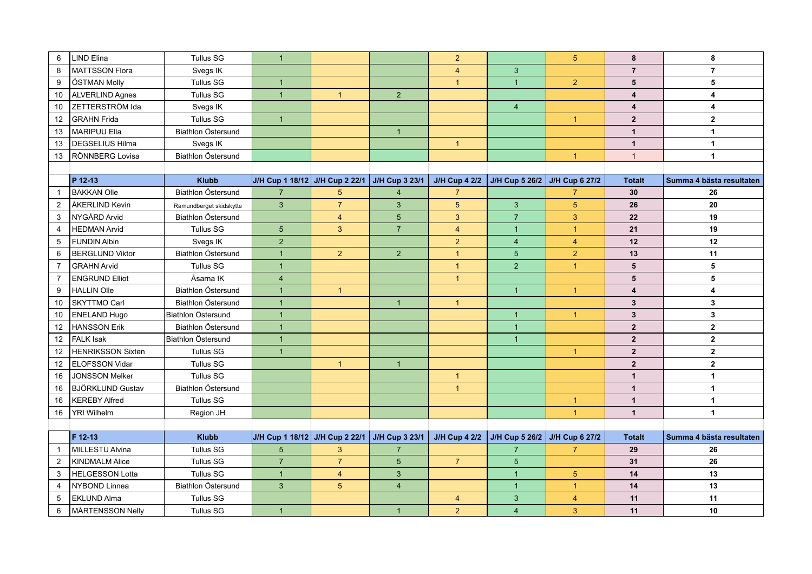| 6              | LIND Elina               | <b>Tullus SG</b>        | $\mathbf{1}$                   |                 |                 | $\overline{2}$ |                                             | 5 <sup>5</sup>        | 8                       | 8                        |
|----------------|--------------------------|-------------------------|--------------------------------|-----------------|-----------------|----------------|---------------------------------------------|-----------------------|-------------------------|--------------------------|
| 8              | <b>MATTSSON Flora</b>    | Svegs IK                |                                |                 |                 | $\overline{4}$ | $\mathbf{3}$                                |                       | $\overline{7}$          | $\overline{7}$           |
| 9              | ÖSTMAN Molly             | <b>Tullus SG</b>        | $\overline{1}$                 |                 |                 | $\mathbf{1}$   | $\mathbf{1}$                                | $\overline{2}$        | ${\bf 5}$               | 5                        |
| 10             | ALVERLIND Agnes          | <b>Tullus SG</b>        | $\overline{1}$                 | $\mathbf{1}$    | 2               |                |                                             |                       | $\overline{\mathbf{4}}$ | $\overline{\mathbf{4}}$  |
| 10             | ZETTERSTRÖM Ida          | Svegs IK                |                                |                 |                 |                | $\overline{4}$                              |                       | $\overline{\mathbf{4}}$ | $\overline{\mathbf{4}}$  |
| 12             | <b>GRAHN Frida</b>       | <b>Tullus SG</b>        | $\overline{1}$                 |                 |                 |                |                                             | $\overline{1}$        | 2 <sup>2</sup>          | $\overline{2}$           |
| 13             | MARIPUU Ella             | Biathlon Östersund      |                                |                 | $\overline{1}$  |                |                                             |                       | $\mathbf{1}$            | $\mathbf{1}$             |
| 13             | <b>DEGSELIUS Hilma</b>   | Svegs IK                |                                |                 |                 | $\overline{1}$ |                                             |                       | $\mathbf{1}$            | $\mathbf{1}$             |
| 13             | RÖNNBERG Lovisa          | Biathlon Östersund      |                                |                 |                 |                |                                             | $\mathbf{1}$          | $\mathbf{1}$            | $\mathbf{1}$             |
|                |                          |                         |                                |                 |                 |                |                                             |                       |                         |                          |
|                | P 12-13                  | <b>Klubb</b>            | J/H Cup 1 18/12 J/H Cup 2 22/1 |                 | J/H Cup 3 23/1  |                | J/H Cup 4 2/2 J/H Cup 5 26/2 J/H Cup 6 27/2 |                       | <b>Totalt</b>           | Summa 4 bästa resultaten |
| $\mathbf{1}$   | <b>BAKKAN Olle</b>       | Biathlon Östersund      | $\overline{7}$                 | $5\phantom{.0}$ | $\overline{4}$  | $\overline{7}$ |                                             | $\overline{7}$        | 30                      | 26                       |
| $\overline{2}$ | ÅKERLIND Kevin           | Ramundberget skidskytte | $\mathbf{3}$                   | $\overline{7}$  | $\mathbf{3}$    | 5              | $\overline{3}$                              | $\overline{5}$        | 26                      | 20                       |
| 3              | NYGÅRD Arvid             | Biathlon Östersund      |                                | $\overline{4}$  | $5\overline{5}$ | 3              | $\overline{7}$                              | 3                     | 22                      | 19                       |
| 4              | <b>HEDMAN Arvid</b>      | <b>Tullus SG</b>        | $5\phantom{.0}$                | 3               | $\overline{7}$  | $\overline{4}$ | $\mathbf{1}$                                | $\mathbf{1}$          | 21                      | 19                       |
| 5              | <b>FUNDIN Albin</b>      | Svegs IK                | $\overline{2}$                 |                 |                 | $\overline{2}$ | $\overline{4}$                              | $\overline{4}$        | 12                      | 12                       |
| 6              | <b>BERGLUND Viktor</b>   | Biathlon Östersund      | $\overline{1}$                 | $\overline{2}$  | 2               | $\mathbf{1}$   | 5 <sup>5</sup>                              | $\overline{2}$        | 13                      | 11                       |
| $\overline{7}$ | <b>GRAHN Arvid</b>       | <b>Tullus SG</b>        | $\overline{1}$                 |                 |                 | $\mathbf{1}$   | 2 <sup>1</sup>                              | $\mathbf{1}$          | $5\phantom{.0}$         | 5                        |
| $\overline{7}$ | <b>ENGRUND Elliot</b>    | Åsarna IK               | $\overline{4}$                 |                 |                 | $\mathbf{1}$   |                                             |                       | $5\phantom{a}$          | 5                        |
| 9              | <b>HALLIN Olle</b>       | Biathlon Östersund      | $\overline{1}$                 | $\mathbf{1}$    |                 |                | $\mathbf{1}$                                | 1                     | $\overline{\mathbf{4}}$ | 4                        |
| 10             | <b>SKYTTMO Carl</b>      | Biathlon Östersund      | $\overline{1}$                 |                 | $\overline{1}$  | $\mathbf{1}$   |                                             |                       | $\mathbf{3}$            | 3                        |
| 10             | <b>ENELAND Hugo</b>      | Biathlon Östersund      | $\overline{1}$                 |                 |                 |                | $\mathbf{1}$                                | $\mathbf{1}$          | $\mathbf{3}$            | $\mathbf{3}$             |
| 12             | <b>HANSSON Erik</b>      | Biathlon Östersund      | $\mathbf{1}$                   |                 |                 |                | $\mathbf{1}$                                |                       | $\overline{2}$          | $\mathbf{2}$             |
| 12             | <b>FALK Isak</b>         | Biathlon Östersund      | $\overline{1}$                 |                 |                 |                | $\mathbf{1}$                                |                       | $\overline{2}$          | $\mathbf{2}$             |
| 12             | <b>HENRIKSSON Sixten</b> | <b>Tullus SG</b>        | $\overline{1}$                 |                 |                 |                |                                             | $\mathbf{1}$          | $\overline{2}$          | $\overline{2}$           |
| 12             | <b>ELOFSSON Vidar</b>    | <b>Tullus SG</b>        |                                | $\mathbf{1}$    | $\overline{1}$  |                |                                             |                       | $\mathbf{2}$            | $\overline{\mathbf{2}}$  |
| 16             | <b>JONSSON Melker</b>    | <b>Tullus SG</b>        |                                |                 |                 | $\mathbf{1}$   |                                             |                       | $\mathbf{1}$            | $\mathbf{1}$             |
| 16             | <b>BJÖRKLUND Gustav</b>  | Biathlon Östersund      |                                |                 |                 | $\mathbf{1}$   |                                             |                       | $\mathbf{1}$            | $\mathbf{1}$             |
| 16             | <b>KEREBY Alfred</b>     | <b>Tullus SG</b>        |                                |                 |                 |                |                                             | $\mathbf{1}$          | $\mathbf{1}$            | $\mathbf{1}$             |
| 16             | YRI Wilhelm              | Region JH               |                                |                 |                 |                |                                             | $\overline{1}$        | $\mathbf{1}$            | $\mathbf{1}$             |
|                |                          |                         |                                |                 |                 |                |                                             |                       |                         |                          |
|                | F 12-13                  | <b>Klubb</b>            | J/H Cup 1 18/12 J/H Cup 2 22/1 |                 | J/H Cup 3 23/1  |                | J/H Cup 4 2/2 J/H Cup 5 26/2                | <b>J/H Cup 6 27/2</b> | <b>Totalt</b>           | Summa 4 bästa resultaten |
| $\overline{1}$ | MILLESTU Alvina          | <b>Tullus SG</b>        | $5\overline{)}$                | 3               | $\overline{7}$  |                | $\overline{7}$                              | $\overline{7}$        | 29                      | 26                       |
| 2              | KINDMALM Alice           | <b>Tullus SG</b>        | $\overline{7}$                 | $\overline{7}$  | $\sqrt{5}$      | $\overline{7}$ | 5                                           |                       | 31                      | 26                       |
| 3              | HELGESSON Lotta          | <b>Tullus SG</b>        | $\mathbf{1}$                   | $\overline{4}$  | 3               |                | $\mathbf{1}$                                | $\overline{5}$        | 14                      | 13                       |
| $\overline{4}$ | NYBOND Linnea            | Biathlon Östersund      | $\mathbf{3}$                   | $5\phantom{.0}$ | $\overline{4}$  |                | $\mathbf{1}$                                | $\mathbf{1}$          | 14                      | 13                       |
| 5              | <b>EKLUND Alma</b>       | <b>Tullus SG</b>        |                                |                 |                 | $\overline{4}$ | $\overline{3}$                              | $\overline{4}$        | 11                      | 11                       |
| 6              | MÅRTENSSON Nelly         | <b>Tullus SG</b>        | $\overline{1}$                 |                 | $\overline{1}$  | $\overline{2}$ | $\overline{4}$                              | 3                     | 11                      | 10                       |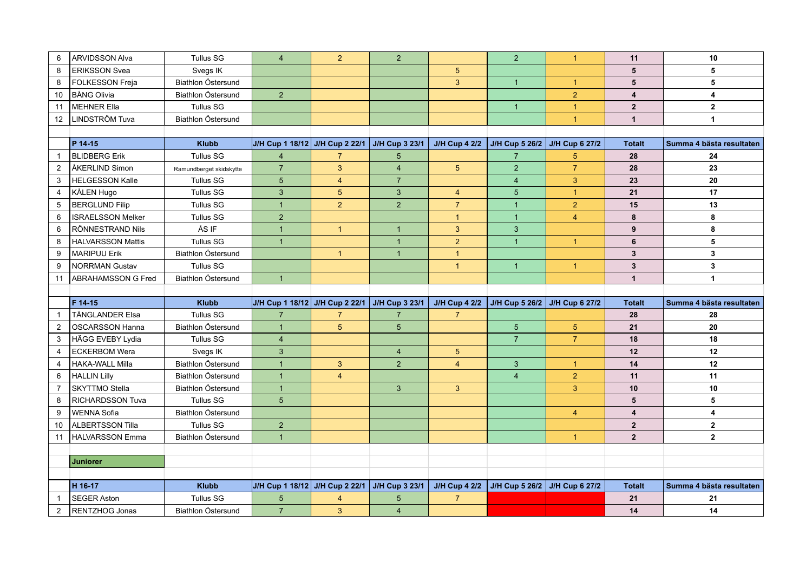| 6              | <b>ARVIDSSON Alva</b>    | <b>Tullus SG</b>          | $\overline{4}$                 | $\overline{2}$ | $\overline{2}$ |                      | 2 <sup>1</sup>                              | $\mathbf{1}$   | 11                      | 10                       |
|----------------|--------------------------|---------------------------|--------------------------------|----------------|----------------|----------------------|---------------------------------------------|----------------|-------------------------|--------------------------|
| 8              | <b>ERIKSSON Svea</b>     | Svegs IK                  |                                |                |                | 5 <sup>5</sup>       |                                             |                | 5                       | 5                        |
| 8              | FOLKESSON Freja          | Biathlon Östersund        |                                |                |                | $\overline{3}$       | $\overline{1}$                              | $\overline{1}$ | 5                       | 5                        |
| 10             | <b>BÅNG Olivia</b>       | Biathlon Östersund        | 2 <sup>1</sup>                 |                |                |                      |                                             | $\overline{2}$ | $\overline{\mathbf{4}}$ | $\overline{\mathbf{4}}$  |
| 11             | MEHNER Ella              | <b>Tullus SG</b>          |                                |                |                |                      | $\mathbf{1}$                                | $\overline{1}$ | $\mathbf{2}$            | $\mathbf{2}$             |
| 12             | LINDSTRÖM Tuva           | Biathlon Östersund        |                                |                |                |                      |                                             | $\overline{1}$ | $\mathbf{1}$            | $\mathbf{1}$             |
|                |                          |                           |                                |                |                |                      |                                             |                |                         |                          |
|                | P 14-15                  | <b>Klubb</b>              | J/H Cup 1 18/12 J/H Cup 2 22/1 |                | J/H Cup 3 23/1 | <b>J/H Cup 4 2/2</b> | J/H Cup 5 26/2 J/H Cup 6 27/2               |                | <b>Totalt</b>           | Summa 4 bästa resultaten |
| $\overline{1}$ | <b>BLIDBERG Erik</b>     | <b>Tullus SG</b>          | $\overline{4}$                 | $\overline{7}$ | 5              |                      | $\overline{7}$                              | 5              | 28                      | 24                       |
| 2              | ÅKERLIND Simon           | Ramundberget skidskytte   | $\overline{7}$                 | $\overline{3}$ | $\overline{4}$ | 5 <sup>5</sup>       | $\overline{2}$                              | $\overline{7}$ | 28                      | 23                       |
| 3              | <b>HELGESSON Kalle</b>   | <b>Tullus SG</b>          | 5 <sup>5</sup>                 | $\overline{4}$ | $\overline{7}$ |                      | $\overline{4}$                              | $\overline{3}$ | 23                      | 20                       |
| $\overline{4}$ | KÅLEN Hugo               | <b>Tullus SG</b>          | $\mathbf{3}$                   | $5\phantom{.}$ | $\mathbf{3}$   | $\overline{4}$       | 5                                           | $\overline{1}$ | 21                      | 17                       |
| 5              | <b>BERGLUND Filip</b>    | <b>Tullus SG</b>          | $\overline{1}$                 | $\overline{2}$ | 2              | $\overline{7}$       | $\mathbf{1}$                                | $\overline{2}$ | 15                      | 13                       |
| 6              | <b>ISRAELSSON Melker</b> | <b>Tullus SG</b>          | $\overline{2}$                 |                |                | $\overline{1}$       | $\mathbf{1}$                                | $\overline{4}$ | 8                       | 8                        |
| 6              | RÖNNESTRAND Nils         | ÅS IF                     | $\overline{1}$                 | $\overline{1}$ | $\overline{1}$ | $\mathbf{3}$         | 3                                           |                | 9                       | 8                        |
| 8              | <b>HALVARSSON Mattis</b> | <b>Tullus SG</b>          | $\overline{1}$                 |                | $\overline{1}$ | $\overline{2}$       | $\mathbf{1}$                                | $\overline{1}$ | 6                       | 5                        |
| 9              | <b>MARIPUU Erik</b>      | Biathlon Östersund        |                                | $\overline{1}$ | $\overline{1}$ | $\overline{1}$       |                                             |                | $\mathbf 3$             | $\overline{\mathbf{3}}$  |
| 9              | <b>NORRMAN Gustav</b>    | <b>Tullus SG</b>          |                                |                |                | $\overline{1}$       | $\overline{1}$                              | $\overline{1}$ | $\mathbf{3}$            | 3                        |
| 11             | ABRAHAMSSON G Fred       | Biathlon Östersund        | $\overline{1}$                 |                |                |                      |                                             |                | $\mathbf{1}$            | $\mathbf{1}$             |
|                |                          |                           |                                |                |                |                      |                                             |                |                         |                          |
|                |                          |                           |                                |                |                |                      |                                             |                |                         |                          |
|                | F 14-15                  | <b>Klubb</b>              | J/H Cup 1 18/12 J/H Cup 2 22/1 |                | J/H Cup 3 23/1 | <b>J/H Cup 4 2/2</b> | J/H Cup 5 26/2 J/H Cup 6 27/2               |                | <b>Totalt</b>           | Summa 4 bästa resultaten |
| $\mathbf{1}$   | TÄNGLANDER Elsa          | <b>Tullus SG</b>          | $\overline{7}$                 | $\overline{7}$ | $\overline{7}$ | $\overline{7}$       |                                             |                | 28                      | 28                       |
| 2              | <b>OSCARSSON Hanna</b>   | Biathlon Östersund        | $\overline{1}$                 | 5              | 5              |                      | 5 <sup>5</sup>                              | 5 <sup>5</sup> | 21                      | 20                       |
| 3              | HÄGG EVEBY Lydia         | <b>Tullus SG</b>          | $\overline{4}$                 |                |                |                      | $\overline{7}$                              | $\overline{7}$ | 18                      | 18                       |
| $\overline{4}$ | <b>ECKERBOM Wera</b>     | Svegs IK                  | $\mathbf{3}$                   |                | $\overline{4}$ | 5 <sup>5</sup>       |                                             |                | 12                      | 12                       |
| $\overline{4}$ | <b>HAKA-WALL Milla</b>   | Biathlon Östersund        | $\mathbf{1}$                   | $\mathbf{3}$   | $\overline{2}$ | $\overline{4}$       | $\mathbf{3}$                                | $\mathbf{1}$   | 14                      | 12                       |
| 6              | <b>HALLIN Lilly</b>      | <b>Biathlon Östersund</b> | $\mathbf{1}$                   | $\overline{4}$ |                |                      | $\overline{4}$                              | 2 <sup>1</sup> | 11                      | 11                       |
| $\overline{7}$ | <b>SKYTTMO Stella</b>    | Biathlon Östersund        | $\mathbf{1}$                   |                | $\mathbf{3}$   | $\mathbf{3}$         |                                             | $\overline{3}$ | 10                      | 10                       |
| 8              | <b>RICHARDSSON Tuva</b>  | <b>Tullus SG</b>          | $5\overline{)}$                |                |                |                      |                                             |                | 5                       | 5                        |
| 9              | <b>WENNA Sofia</b>       | Biathlon Östersund        |                                |                |                |                      |                                             | $\overline{4}$ | $\overline{\mathbf{4}}$ | $\overline{\mathbf{4}}$  |
| 10             | <b>ALBERTSSON Tilla</b>  | <b>Tullus SG</b>          | $\overline{2}$                 |                |                |                      |                                             |                | $\overline{2}$          | $\overline{2}$           |
| 11             | <b>HALVARSSON Emma</b>   | Biathlon Östersund        | $\overline{1}$                 |                |                |                      |                                             | $\overline{1}$ | $\overline{2}$          | $\overline{2}$           |
|                |                          |                           |                                |                |                |                      |                                             |                |                         |                          |
|                | <b>Juniorer</b>          |                           |                                |                |                |                      |                                             |                |                         |                          |
|                |                          |                           |                                |                |                |                      |                                             |                |                         |                          |
|                | H 16-17                  | <b>Klubb</b>              | J/H Cup 1 18/12 J/H Cup 2 22/1 |                | J/H Cup 3 23/1 |                      | J/H Cup 4 2/2 J/H Cup 5 26/2 J/H Cup 6 27/2 |                | <b>Totalt</b>           | Summa 4 bästa resultaten |
| $\mathbf{1}$   | SEGER Aston              | <b>Tullus SG</b>          | $5\phantom{.0}$                | $\overline{4}$ | 5              | $\overline{7}$       |                                             |                | 21                      | 21                       |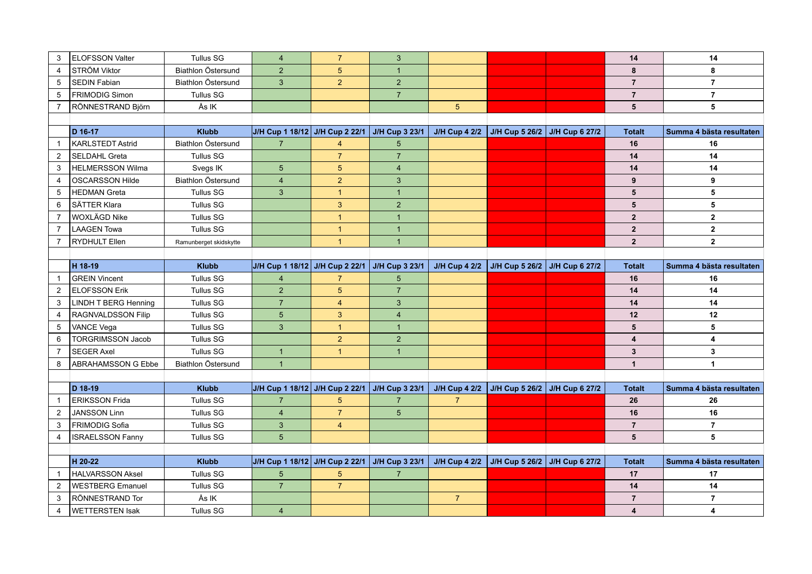| 3              | <b>ELOFSSON Valter</b>      | <b>Tullus SG</b>       | $\overline{4}$                 | $\overline{7}$          | 3               |                      |                                             | 14                      | 14                       |
|----------------|-----------------------------|------------------------|--------------------------------|-------------------------|-----------------|----------------------|---------------------------------------------|-------------------------|--------------------------|
| $\overline{4}$ | STRÖM Viktor                | Biathlon Östersund     | $\overline{2}$                 | 5                       | $\mathbf{1}$    |                      |                                             | 8                       | 8                        |
| 5              | <b>SEDIN Fabian</b>         | Biathlon Östersund     | $\mathbf{3}$                   | $\overline{2}$          | $\overline{2}$  |                      |                                             | $\overline{7}$          | $\overline{7}$           |
| 5              | FRIMODIG Simon              | <b>Tullus SG</b>       |                                |                         | $\overline{7}$  |                      |                                             | $\overline{7}$          | $\overline{7}$           |
| $\overline{7}$ | RÖNNESTRAND Björn           | Ås IK                  |                                |                         |                 | 5 <sup>5</sup>       |                                             | 5                       | 5                        |
|                |                             |                        |                                |                         |                 |                      |                                             |                         |                          |
|                | D 16-17                     | <b>Klubb</b>           | J/H Cup 1 18/12 J/H Cup 2 22/1 |                         | J/H Cup 3 23/1  |                      | J/H Cup 4 2/2 J/H Cup 5 26/2 J/H Cup 6 27/2 | <b>Totalt</b>           | Summa 4 bästa resultaten |
| $\overline{1}$ | <b>KARLSTEDT Astrid</b>     | Biathlon Östersund     | $\overline{7}$                 | 4                       | 5               |                      |                                             | 16                      | 16                       |
| $\overline{2}$ | <b>SELDAHL Greta</b>        | <b>Tullus SG</b>       |                                | $\overline{7}$          | $\overline{7}$  |                      |                                             | 14                      | 14                       |
| 3              | <b>HELMERSSON Wilma</b>     | Svegs IK               | $5\overline{)}$                | 5 <sup>5</sup>          | $\overline{4}$  |                      |                                             | 14                      | 14                       |
| 4              | <b>OSCARSSON Hilde</b>      | Biathlon Östersund     | $\overline{4}$                 | $\overline{2}$          | 3               |                      |                                             | 9                       | 9                        |
| 5              | HEDMAN Greta                | <b>Tullus SG</b>       | $\mathbf{3}$                   | $\mathbf{1}$            | $\mathbf{1}$    |                      |                                             | 5                       | 5                        |
| 6              | SÄTTER Klara                | <b>Tullus SG</b>       |                                | $\mathbf{3}$            | $\overline{2}$  |                      |                                             | 5                       | 5                        |
| $\overline{7}$ | <b>WOXLÄGD Nike</b>         | <b>Tullus SG</b>       |                                | $\overline{1}$          | $\mathbf{1}$    |                      |                                             | $\overline{2}$          | $\overline{2}$           |
| $\overline{7}$ | LAAGEN Towa                 | <b>Tullus SG</b>       |                                | $\overline{1}$          | $\mathbf{1}$    |                      |                                             | $\mathbf{2}$            | $\overline{2}$           |
| $\overline{7}$ | <b>RYDHULT Ellen</b>        | Ramunberget skidskytte |                                | $\overline{1}$          | $\overline{1}$  |                      |                                             | $\overline{2}$          | $\overline{2}$           |
|                |                             |                        |                                |                         |                 |                      |                                             |                         |                          |
|                | H 18-19                     | <b>Klubb</b>           | J/H Cup 1 18/12 J/H Cup 2 22/1 |                         | J/H Cup 3 23/1  | <b>J/H Cup 4 2/2</b> | J/H Cup 5 26/2 J/H Cup 6 27/2               | <b>Totalt</b>           | Summa 4 bästa resultaten |
| $\overline{1}$ | <b>GREIN Vincent</b>        | Tullus SG              | $\overline{4}$                 | $\overline{7}$          | 5               |                      |                                             | 16                      | 16                       |
| 2              | <b>ELOFSSON Erik</b>        | <b>Tullus SG</b>       | $\overline{2}$                 | 5                       | $\overline{7}$  |                      |                                             | 14                      | 14                       |
| 3              | <b>LINDH T BERG Henning</b> | <b>Tullus SG</b>       | $\overline{7}$                 | $\overline{\mathbf{4}}$ | $\mathbf{3}$    |                      |                                             | 14                      | 14                       |
| 4              | RAGNVALDSSON Filip          | <b>Tullus SG</b>       | $5\overline{)}$                | 3                       | $\overline{4}$  |                      |                                             | 12                      | 12 <sup>°</sup>          |
| 5              | VANCE Vega                  | <b>Tullus SG</b>       | $\mathbf{3}$                   | $\mathbf{1}$            | $\overline{1}$  |                      |                                             | $5\phantom{.0}$         | 5                        |
| 6              | <b>TORGRIMSSON Jacob</b>    | <b>Tullus SG</b>       |                                | $\overline{2}$          | 2               |                      |                                             | $\overline{\mathbf{4}}$ | 4                        |
| $\overline{7}$ | <b>SEGER Axel</b>           | <b>Tullus SG</b>       | $\mathbf{1}$                   | $\mathbf{1}$            | $\mathbf{1}$    |                      |                                             | $\mathbf{3}$            | 3                        |
| 8              | <b>ABRAHAMSSON G Ebbe</b>   | Biathlon Östersund     | $\overline{1}$                 |                         |                 |                      |                                             | $\mathbf{1}$            | $\mathbf{1}$             |
|                |                             |                        |                                |                         |                 |                      |                                             |                         |                          |
|                | D 18-19                     | <b>Klubb</b>           | J/H Cup 1 18/12 J/H Cup 2 22/1 |                         | J/H Cup 3 23/1  |                      | J/H Cup 4 2/2 J/H Cup 5 26/2 J/H Cup 6 27/2 | <b>Totalt</b>           | Summa 4 bästa resultaten |
| $\mathbf{1}$   | <b>ERIKSSON Frida</b>       | <b>Tullus SG</b>       | $\overline{7}$                 | $\sqrt{5}$              | $\overline{7}$  | $\overline{7}$       |                                             | 26                      | 26                       |
| $\overline{2}$ | <b>JANSSON Linn</b>         | <b>Tullus SG</b>       | $\overline{4}$                 | $\overline{7}$          | $5\phantom{.0}$ |                      |                                             | 16                      | 16                       |
| 3              | <b>FRIMODIG Sofia</b>       | <b>Tullus SG</b>       | $\mathbf{3}$                   | $\overline{4}$          |                 |                      |                                             | $\overline{7}$          | $\overline{7}$           |
| 4              | <b>ISRAELSSON Fanny</b>     | <b>Tullus SG</b>       | $5\phantom{.}$                 |                         |                 |                      |                                             | 5                       | 5                        |
|                |                             |                        |                                |                         |                 |                      |                                             |                         |                          |
|                | H 20-22                     | <b>Klubb</b>           | J/H Cup 1 18/12 J/H Cup 2 22/1 |                         | J/H Cup 3 23/1  | <b>J/H Cup 4 2/2</b> | J/H Cup 5 26/2 J/H Cup 6 27/2               | <b>Totalt</b>           | Summa 4 bästa resultaten |
| $\overline{1}$ | <b>HALVARSSON Aksel</b>     | <b>Tullus SG</b>       | $5\phantom{.0}$                | $5\phantom{.0}$         | $\overline{7}$  |                      |                                             | 17                      | 17                       |
| $\overline{2}$ | <b>WESTBERG Emanuel</b>     | <b>Tullus SG</b>       | $\overline{7}$                 | $\overline{7}$          |                 |                      |                                             | 14                      | 14                       |
| 3              | RÖNNESTRAND Tor             | Ås IK                  |                                |                         |                 | $\overline{7}$       |                                             | $\overline{7}$          | $\overline{7}$           |
| 4              | <b>WETTERSTEN Isak</b>      | <b>Tullus SG</b>       | $\overline{4}$                 |                         |                 |                      |                                             | 4                       | 4                        |